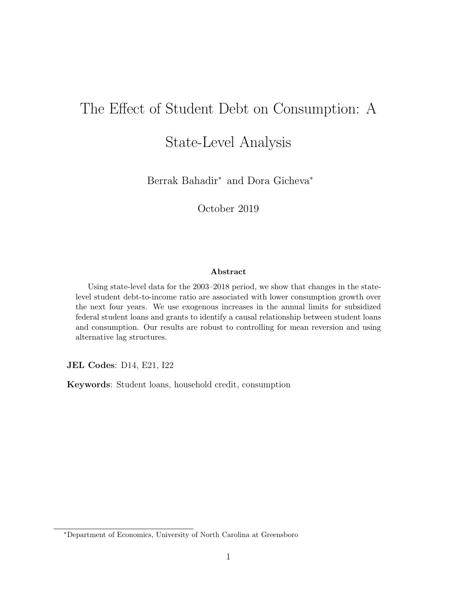# The Effect of Student Debt on Consumption: A

## State-Level Analysis

Berrak Bahadir<sup>∗</sup> and Dora Gicheva<sup>∗</sup>

October 2019

#### Abstract

Using state-level data for the 2003–2018 period, we show that changes in the statelevel student debt-to-income ratio are associated with lower consumption growth over the next four years. We use exogenous increases in the annual limits for subsidized federal student loans and grants to identify a causal relationship between student loans and consumption. Our results are robust to controlling for mean reversion and using alternative lag structures.

JEL Codes: D14, E21, I22

Keywords: Student loans, household credit, consumption

<sup>∗</sup>Department of Economics, University of North Carolina at Greensboro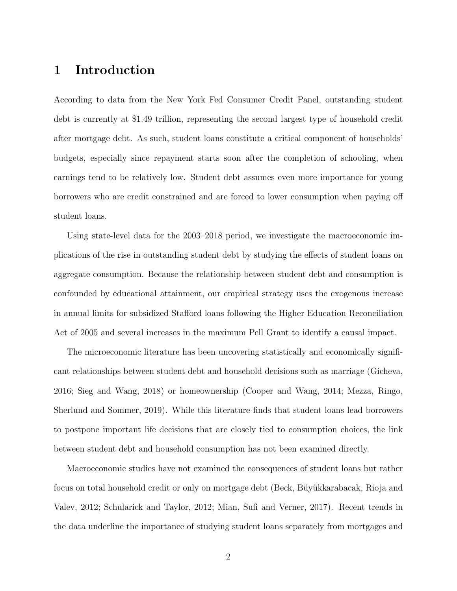#### 1 Introduction

According to data from the New York Fed Consumer Credit Panel, outstanding student debt is currently at \$1.49 trillion, representing the second largest type of household credit after mortgage debt. As such, student loans constitute a critical component of households' budgets, especially since repayment starts soon after the completion of schooling, when earnings tend to be relatively low. Student debt assumes even more importance for young borrowers who are credit constrained and are forced to lower consumption when paying off student loans.

Using state-level data for the 2003–2018 period, we investigate the macroeconomic implications of the rise in outstanding student debt by studying the effects of student loans on aggregate consumption. Because the relationship between student debt and consumption is confounded by educational attainment, our empirical strategy uses the exogenous increase in annual limits for subsidized Stafford loans following the Higher Education Reconciliation Act of 2005 and several increases in the maximum Pell Grant to identify a causal impact.

The microeconomic literature has been uncovering statistically and economically significant relationships between student debt and household decisions such as marriage (Gicheva, 2016; Sieg and Wang, 2018) or homeownership (Cooper and Wang, 2014; Mezza, Ringo, Sherlund and Sommer, 2019). While this literature finds that student loans lead borrowers to postpone important life decisions that are closely tied to consumption choices, the link between student debt and household consumption has not been examined directly.

Macroeconomic studies have not examined the consequences of student loans but rather focus on total household credit or only on mortgage debt (Beck, Büyükkarabacak, Rioja and Valev, 2012; Schularick and Taylor, 2012; Mian, Sufi and Verner, 2017). Recent trends in the data underline the importance of studying student loans separately from mortgages and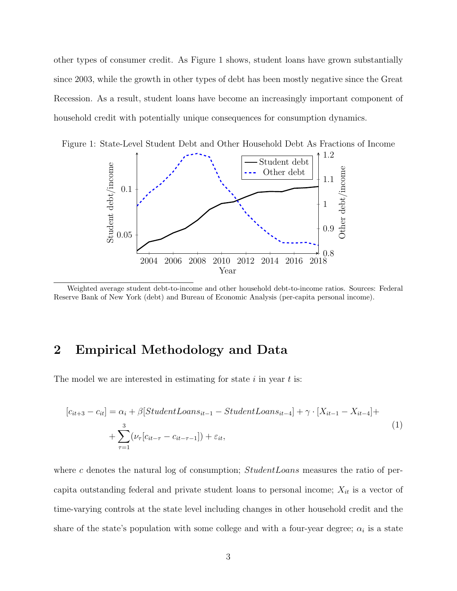other types of consumer credit. As Figure 1 shows, student loans have grown substantially since 2003, while the growth in other types of debt has been mostly negative since the Great Recession. As a result, student loans have become an increasingly important component of household credit with potentially unique consequences for consumption dynamics.





Weighted average student debt-to-income and other household debt-to-income ratios. Sources: Federal Reserve Bank of New York (debt) and Bureau of Economic Analysis (per-capita personal income).

### 2 Empirical Methodology and Data

The model we are interested in estimating for state  $i$  in year  $t$  is:

$$
[c_{it+3} - c_{it}] = \alpha_i + \beta[StudentL oans_{it-1} - StudentL oans_{it-4}] + \gamma \cdot [X_{it-1} - X_{it-4}] +
$$
  
+ 
$$
\sum_{\tau=1}^{3} (\nu_{\tau}[c_{it-\tau} - c_{it-\tau-1}]) + \varepsilon_{it},
$$
 (1)

where c denotes the natural log of consumption;  $StudentLoans$  measures the ratio of percapita outstanding federal and private student loans to personal income;  $X_{it}$  is a vector of time-varying controls at the state level including changes in other household credit and the share of the state's population with some college and with a four-year degree;  $\alpha_i$  is a state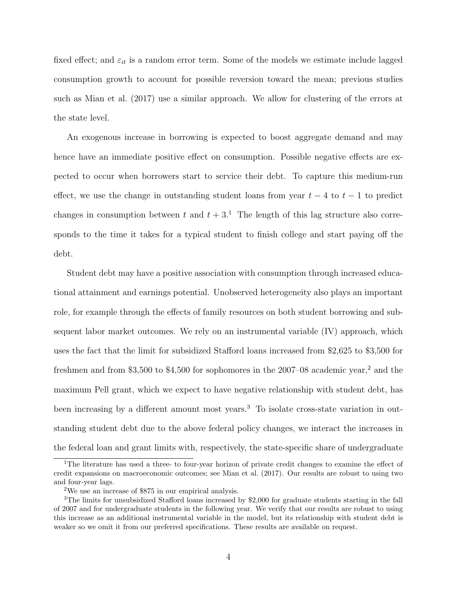fixed effect; and  $\varepsilon_{it}$  is a random error term. Some of the models we estimate include lagged consumption growth to account for possible reversion toward the mean; previous studies such as Mian et al. (2017) use a similar approach. We allow for clustering of the errors at the state level.

An exogenous increase in borrowing is expected to boost aggregate demand and may hence have an immediate positive effect on consumption. Possible negative effects are expected to occur when borrowers start to service their debt. To capture this medium-run effect, we use the change in outstanding student loans from year  $t - 4$  to  $t - 1$  to predict changes in consumption between t and  $t + 3<sup>1</sup>$ . The length of this lag structure also corresponds to the time it takes for a typical student to finish college and start paying off the debt.

Student debt may have a positive association with consumption through increased educational attainment and earnings potential. Unobserved heterogeneity also plays an important role, for example through the effects of family resources on both student borrowing and subsequent labor market outcomes. We rely on an instrumental variable (IV) approach, which uses the fact that the limit for subsidized Stafford loans increased from \$2,625 to \$3,500 for freshmen and from \$3,500 to \$4,500 for sophomores in the 2007–08 academic year,<sup>2</sup> and the maximum Pell grant, which we expect to have negative relationship with student debt, has been increasing by a different amount most years.<sup>3</sup> To isolate cross-state variation in outstanding student debt due to the above federal policy changes, we interact the increases in the federal loan and grant limits with, respectively, the state-specific share of undergraduate

<sup>&</sup>lt;sup>1</sup>The literature has used a three- to four-year horizon of private credit changes to examine the effect of credit expansions on macroeconomic outcomes; see Mian et al. (2017). Our results are robust to using two and four-year lags.

<sup>2</sup>We use an increase of \$875 in our empirical analysis.

<sup>3</sup>The limits for unsubsidized Stafford loans increased by \$2,000 for graduate students starting in the fall of 2007 and for undergraduate students in the following year. We verify that our results are robust to using this increase as an additional instrumental variable in the model, but its relationship with student debt is weaker so we omit it from our preferred specifications. These results are available on request.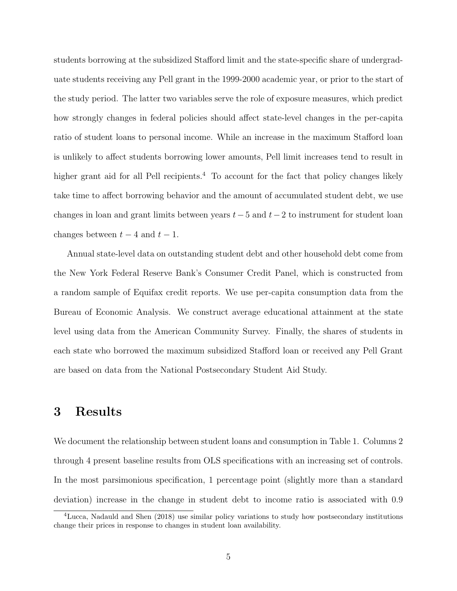students borrowing at the subsidized Stafford limit and the state-specific share of undergraduate students receiving any Pell grant in the 1999-2000 academic year, or prior to the start of the study period. The latter two variables serve the role of exposure measures, which predict how strongly changes in federal policies should affect state-level changes in the per-capita ratio of student loans to personal income. While an increase in the maximum Stafford loan is unlikely to affect students borrowing lower amounts, Pell limit increases tend to result in higher grant aid for all Pell recipients.<sup>4</sup> To account for the fact that policy changes likely take time to affect borrowing behavior and the amount of accumulated student debt, we use changes in loan and grant limits between years  $t-5$  and  $t-2$  to instrument for student loan changes between  $t - 4$  and  $t - 1$ .

Annual state-level data on outstanding student debt and other household debt come from the New York Federal Reserve Bank's Consumer Credit Panel, which is constructed from a random sample of Equifax credit reports. We use per-capita consumption data from the Bureau of Economic Analysis. We construct average educational attainment at the state level using data from the American Community Survey. Finally, the shares of students in each state who borrowed the maximum subsidized Stafford loan or received any Pell Grant are based on data from the National Postsecondary Student Aid Study.

#### 3 Results

We document the relationship between student loans and consumption in Table 1. Columns 2 through 4 present baseline results from OLS specifications with an increasing set of controls. In the most parsimonious specification, 1 percentage point (slightly more than a standard deviation) increase in the change in student debt to income ratio is associated with 0.9

<sup>4</sup>Lucca, Nadauld and Shen (2018) use similar policy variations to study how postsecondary institutions change their prices in response to changes in student loan availability.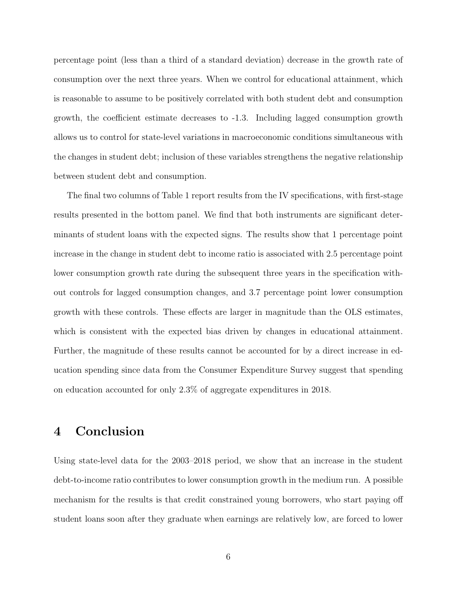percentage point (less than a third of a standard deviation) decrease in the growth rate of consumption over the next three years. When we control for educational attainment, which is reasonable to assume to be positively correlated with both student debt and consumption growth, the coefficient estimate decreases to -1.3. Including lagged consumption growth allows us to control for state-level variations in macroeconomic conditions simultaneous with the changes in student debt; inclusion of these variables strengthens the negative relationship between student debt and consumption.

The final two columns of Table 1 report results from the IV specifications, with first-stage results presented in the bottom panel. We find that both instruments are significant determinants of student loans with the expected signs. The results show that 1 percentage point increase in the change in student debt to income ratio is associated with 2.5 percentage point lower consumption growth rate during the subsequent three years in the specification without controls for lagged consumption changes, and 3.7 percentage point lower consumption growth with these controls. These effects are larger in magnitude than the OLS estimates, which is consistent with the expected bias driven by changes in educational attainment. Further, the magnitude of these results cannot be accounted for by a direct increase in education spending since data from the Consumer Expenditure Survey suggest that spending on education accounted for only 2.3% of aggregate expenditures in 2018.

### 4 Conclusion

Using state-level data for the 2003–2018 period, we show that an increase in the student debt-to-income ratio contributes to lower consumption growth in the medium run. A possible mechanism for the results is that credit constrained young borrowers, who start paying off student loans soon after they graduate when earnings are relatively low, are forced to lower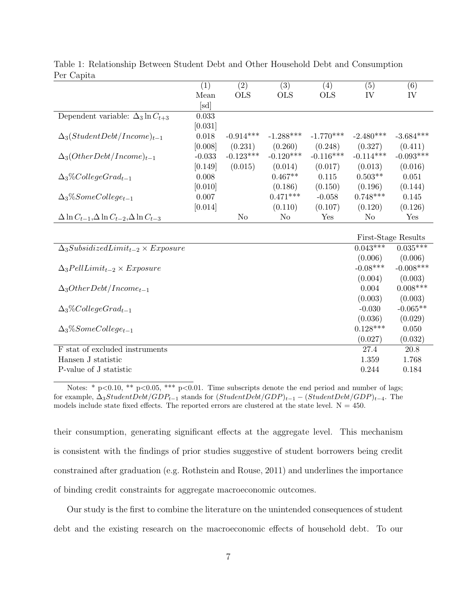|                                                              | (1)             | $\overline{(2)}$ | (3)            | (4)         | (5)                 | (6)         |
|--------------------------------------------------------------|-----------------|------------------|----------------|-------------|---------------------|-------------|
|                                                              | Mean            | <b>OLS</b>       | <b>OLS</b>     | <b>OLS</b>  | IV                  | IV          |
|                                                              | $[\mathrm{sd}]$ |                  |                |             |                     |             |
| Dependent variable: $\Delta_3 \ln C_{t+3}$                   | 0.033           |                  |                |             |                     |             |
|                                                              | [0.031]         |                  |                |             |                     |             |
| $\Delta_3(StudentDebt/Income)_{t-1}$                         | 0.018           | $-0.914***$      | $-1.288***$    | $-1.770***$ | $-2.480***$         | $-3.684***$ |
|                                                              | [0.008]         | (0.231)          | (0.260)        | (0.248)     | (0.327)             | (0.411)     |
| $\Delta_3(OtherDebt/Income)_{t-1}$                           | $-0.033$        | $-0.123***$      | $-0.120***$    | $-0.116***$ | $-0.114***$         | $-0.093***$ |
|                                                              | [0.149]         | (0.015)          | (0.014)        | (0.017)     | (0.013)             | (0.016)     |
| $\Delta_3\% College Grad_{t-1}$                              | 0.008           |                  | $0.467**$      | 0.115       | $0.503**$           | 0.051       |
|                                                              | [0.010]         |                  | (0.186)        | (0.150)     | (0.196)             | (0.144)     |
| $\Delta_3\% Some College_{t-1}$                              | 0.007           |                  | $0.471***$     | $-0.058$    | $0.748***$          | 0.145       |
|                                                              | [0.014]         |                  | (0.110)        | (0.107)     | (0.120)             | (0.126)     |
| $\Delta \ln C_{t-1}, \Delta \ln C_{t-2}, \Delta \ln C_{t-3}$ |                 | N <sub>o</sub>   | N <sub>o</sub> | Yes         | N <sub>o</sub>      | Yes         |
|                                                              |                 |                  |                |             |                     |             |
|                                                              |                 |                  |                |             | First-Stage Results |             |
| $\Delta_3SubsidizedLimit_{t-2} \times Exposure$              |                 |                  |                |             | $0.043***$          | $0.035***$  |
|                                                              |                 |                  |                |             | (0.006)             | (0.006)     |
| $\Delta_3$ PellLimit <sub>t-2</sub> × Exposure               |                 |                  |                |             | $-0.08***$          | $-0.008***$ |
|                                                              |                 |                  |                |             | (0.004)             | (0.003)     |
| $\Delta_3 OtherDebt/Income_{t-1}$                            |                 |                  |                |             | 0.004               | $0.008***$  |
|                                                              |                 |                  |                |             | (0.003)             | (0.003)     |
| $\Delta_3\% College Grad_{t-1}$                              |                 |                  |                |             | $-0.030$            | $-0.065**$  |
|                                                              |                 |                  |                |             | (0.036)             | (0.029)     |
| $\Delta_3\% Some College_{t-1}$                              |                 |                  |                |             | $0.128***$          | 0.050       |
|                                                              |                 |                  |                |             | (0.027)             | (0.032)     |
| F stat of excluded instruments                               |                 |                  |                |             | 27.4                | 20.8        |
| Hansen J statistic                                           |                 |                  |                |             | 1.359               | 1.768       |
| P-value of J statistic                                       |                 |                  |                |             | 0.244               | 0.184       |

Table 1: Relationship Between Student Debt and Other Household Debt and Consumption Per Capita

Notes: \* p<0.10, \*\* p<0.05, \*\*\* p<0.01. Time subscripts denote the end period and number of lags; for example,  $\Delta_3StudentDebt/GDP_{t-1}$  stands for  $(StudentDebt/GDP)_{t-1} - (StudentDebt/GDP)_{t-4}$ . The models include state fixed effects. The reported errors are clustered at the state level.  $N = 450$ .

their consumption, generating significant effects at the aggregate level. This mechanism is consistent with the findings of prior studies suggestive of student borrowers being credit constrained after graduation (e.g. Rothstein and Rouse, 2011) and underlines the importance of binding credit constraints for aggregate macroeconomic outcomes.

Our study is the first to combine the literature on the unintended consequences of student debt and the existing research on the macroeconomic effects of household debt. To our